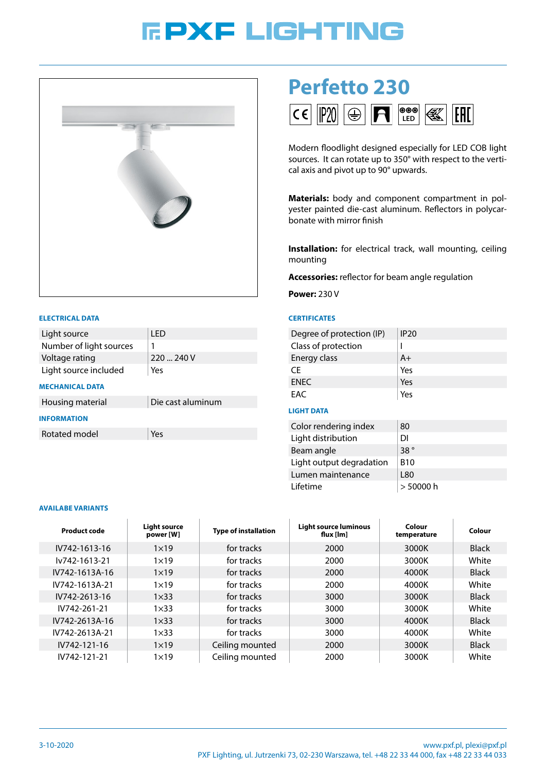# **FPXF LIGHTING**



#### **ELECTRICAL DATA**

| Light source            | I FD              |
|-------------------------|-------------------|
| Number of light sources | 1                 |
| Voltage rating          | 220  240 V        |
| Light source included   | Yes               |
| <b>MECHANICAL DATA</b>  |                   |
| Housing material        | Die cast aluminum |
| <b>INFORMATION</b>      |                   |
| Rotated model           | Yes               |

# **Perfetto 230**



Modern floodlight designed especially for LED COB light sources. It can rotate up to 350° with respect to the vertical axis and pivot up to 90° upwards.

**Materials:** body and component compartment in polyester painted die-cast aluminum. Reflectors in polycarbonate with mirror finish

**Installation:** for electrical track, wall mounting, ceiling mounting

**Accessories:** reflector for beam angle regulation

**Power:** 230 V

## **CERTIFICATES**

| Degree of protection (IP) | IP <sub>20</sub> |
|---------------------------|------------------|
| Class of protection       |                  |
| Energy class              | $A+$             |
| CF.                       | Yes              |
| <b>ENEC</b>               | Yes              |
| <b>FAC</b>                | Yes              |

### **LIGHT DATA**

| Color rendering index    | 80         |
|--------------------------|------------|
| Light distribution       | DI         |
| Beam angle               | 38°        |
| Light output degradation | <b>B10</b> |
| Lumen maintenance        | L80        |
| I ifetime                | > 50000 h  |

#### **AVAILABE VARIANTS**

| Product code   | <b>Light source</b><br>power [W] | <b>Type of installation</b> | Light source luminous<br>flux $[Im]$ | Colour<br>temperature | Colour       |
|----------------|----------------------------------|-----------------------------|--------------------------------------|-----------------------|--------------|
| IV742-1613-16  | $1\times19$                      | for tracks                  | 2000                                 | 3000K                 | <b>Black</b> |
| lv742-1613-21  | $1\times 19$                     | for tracks                  | 2000                                 | 3000K                 | White        |
| IV742-1613A-16 | $1\times19$                      | for tracks                  | 2000                                 | 4000K                 | <b>Black</b> |
| IV742-1613A-21 | $1\times 19$                     | for tracks                  | 2000                                 | 4000K                 | White        |
| IV742-2613-16  | $1\times33$                      | for tracks                  | 3000                                 | 3000K                 | <b>Black</b> |
| IV742-261-21   | $1\times33$                      | for tracks                  | 3000                                 | 3000K                 | White        |
| IV742-2613A-16 | $1\times33$                      | for tracks                  | 3000                                 | 4000K                 | <b>Black</b> |
| IV742-2613A-21 | $1\times33$                      | for tracks                  | 3000                                 | 4000K                 | White        |
| IV742-121-16   | $1\times19$                      | Ceiling mounted             | 2000                                 | 3000K                 | <b>Black</b> |
| IV742-121-21   | $1\times 19$                     | Ceiling mounted             | 2000                                 | 3000K                 | White        |